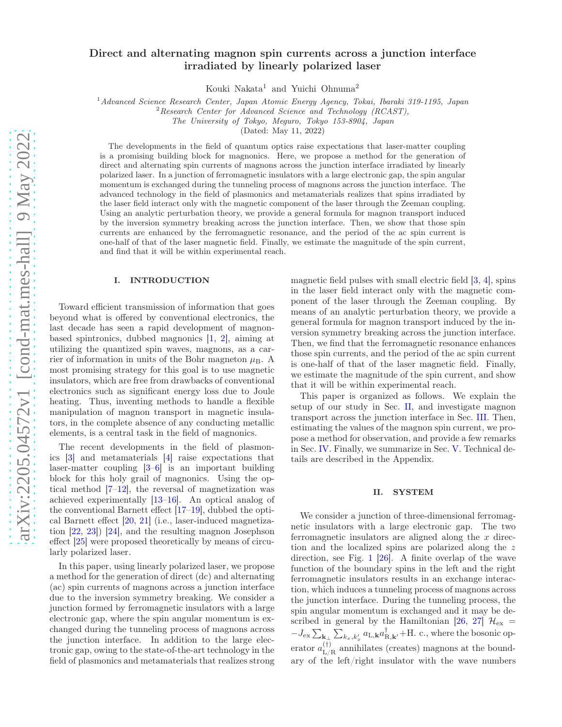# Direct and alternating magnon spin currents across a junction interface irradiated by linearly polarized laser

Kouki Nakata<sup>1</sup> and Yuichi Ohnuma<sup>2</sup>

<sup>1</sup>Advanced Science Research Center, Japan Atomic Energy Agency, Tokai, Ibaraki 319-1195, Japan

 $2$ Research Center for Advanced Science and Technology (RCAST),

The University of Tokyo, Meguro, Tokyo 153-8904, Japan

(Dated: May 11, 2022)

The developments in the field of quantum optics raise expectations that laser-matter coupling is a promising building block for magnonics. Here, we propose a method for the generation of direct and alternating spin currents of magnons across the junction interface irradiated by linearly polarized laser. In a junction of ferromagnetic insulators with a large electronic gap, the spin angular momentum is exchanged during the tunneling process of magnons across the junction interface. The advanced technology in the field of plasmonics and metamaterials realizes that spins irradiated by the laser field interact only with the magnetic component of the laser through the Zeeman coupling. Using an analytic perturbation theory, we provide a general formula for magnon transport induced by the inversion symmetry breaking across the junction interface. Then, we show that those spin currents are enhanced by the ferromagnetic resonance, and the period of the ac spin current is one-half of that of the laser magnetic field. Finally, we estimate the magnitude of the spin current, and find that it will be within experimental reach.

#### I. INTRODUCTION

Toward efficient transmission of information that goes beyond what is offered by conventional electronics, the last decade has seen a rapid development of magnonbased spintronics, dubbed magnonics [1, 2], aiming at utilizing the quantized spin waves, magnons, as a carrier of information in units of the Bohr magneton  $\mu_{\rm B}$ . A most promising strategy for this goal is to use magnetic insulators, which are free from drawbacks of conventional electronics such as significant energy loss due to Joule heating. Thus, inventing methods to handle a flexible manipulation of magnon transport in magnetic insulators, in the complete absence of any conducting metallic elements, is a central task in the field of magnonics.

The recent developments in the field of plasmonics [3] and metamaterials [4] raise expectations that laser-matter coupling [3–6] is an important building block for this holy grail of magnonics. Using the optical method [7–12], the reversal of magnetization was achieved experimentally [13–16]. An optical analog of the conventional Barnett effect [17–19], dubbed the optical Barnett effect [20, 21] (i.e., laser-induced magnetization [22, 23]) [24], and the resulting magnon Josephson effect [25] were proposed theoretically by means of circularly polarized laser.

In this paper, using linearly polarized laser, we propose a method for the generation of direct (dc) and alternating (ac) spin currents of magnons across a junction interface due to the inversion symmetry breaking. We consider a junction formed by ferromagnetic insulators with a large electronic gap, where the spin angular momentum is exchanged during the tunneling process of magnons across the junction interface. In addition to the large electronic gap, owing to the state-of-the-art technology in the field of plasmonics and metamaterials that realizes strong

magnetic field pulses with small electric field [3, 4], spins in the laser field interact only with the magnetic component of the laser through the Zeeman coupling. By means of an analytic perturbation theory, we provide a general formula for magnon transport induced by the inversion symmetry breaking across the junction interface. Then, we find that the ferromagnetic resonance enhances those spin currents, and the period of the ac spin current is one-half of that of the laser magnetic field. Finally, we estimate the magnitude of the spin current, and show that it will be within experimental reach.

This paper is organized as follows. We explain the setup of our study in Sec. II, and investigate magnon transport across the junction interface in Sec. III. Then, estimating the values of the magnon spin current, we propose a method for observation, and provide a few remarks in Sec. IV. Finally, we summarize in Sec. V. Technical details are described in the Appendix.

### II. SYSTEM

We consider a junction of three-dimensional ferromagnetic insulators with a large electronic gap. The two ferromagnetic insulators are aligned along the  $x$  direction and the localized spins are polarized along the z direction, see Fig. 1 [26]. A finite overlap of the wave function of the boundary spins in the left and the right ferromagnetic insulators results in an exchange interaction, which induces a tunneling process of magnons across the junction interface. During the tunneling process, the spin angular momentum is exchanged and it may be described in general by the Hamiltonian [26, 27]  $\mathcal{H}_{\rm ex}$  =  $-J_{\rm ex}\sum_{{\bf k}_\perp}\sum_{k_x,k'_x}a_{{\rm L},{\bf k}}a^\dagger_{{\rm R},{\bf k}'}+{\rm H.~c.},$  where the bosonic operator  $a_{L/R}^{(\dagger)}$  annihilates (creates) magnons at the boundary of the left/right insulator with the wave numbers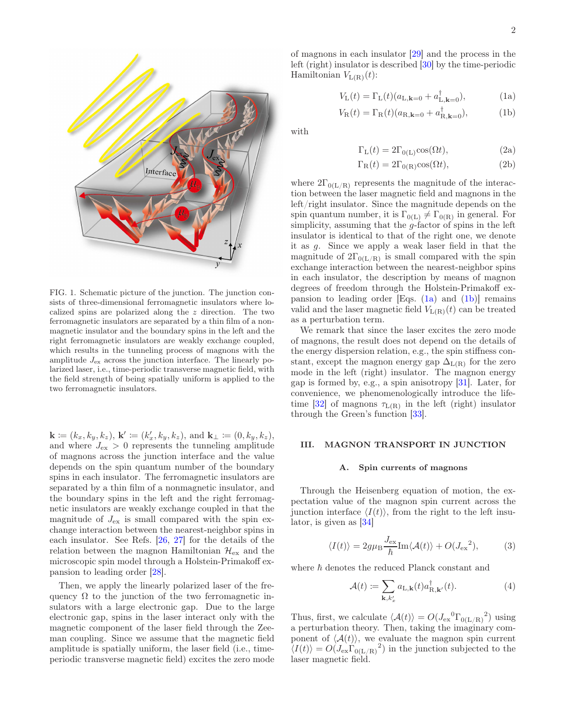

$$
V_{\mathcal{L}}(t) = \Gamma_{\mathcal{L}}(t)(a_{\mathcal{L}, \mathbf{k}=0} + a_{\mathcal{L}, \mathbf{k}=0}^{\dagger}), \tag{1a}
$$

$$
V_{\mathcal{R}}(t) = \Gamma_{\mathcal{R}}(t)(a_{\mathcal{R},\mathbf{k}=0} + a_{\mathcal{R},\mathbf{k}=0}^{\dagger}),\tag{1b}
$$

with

$$
\Gamma_{\mathcal{L}}(t) = 2\Gamma_{0(\mathcal{L})}\cos(\Omega t),\tag{2a}
$$

$$
\Gamma_{\mathcal{R}}(t) = 2\Gamma_{0(\mathcal{R})}\cos(\Omega t),\tag{2b}
$$

where  $2\Gamma_{0(L/R)}$  represents the magnitude of the interaction between the laser magnetic field and magnons in the left/right insulator. Since the magnitude depends on the spin quantum number, it is  $\Gamma_{0(L)} \neq \Gamma_{0(R)}$  in general. For simplicity, assuming that the g-factor of spins in the left insulator is identical to that of the right one, we denote it as g. Since we apply a weak laser field in that the magnitude of  $2\Gamma_{0(L/R)}$  is small compared with the spin exchange interaction between the nearest-neighbor spins in each insulator, the description by means of magnon degrees of freedom through the Holstein-Primakoff expansion to leading order [Eqs.  $(1a)$  and  $(1b)$ ] remains valid and the laser magnetic field  $V_{L(R)}(t)$  can be treated as a perturbation term.

We remark that since the laser excites the zero mode of magnons, the result does not depend on the details of the energy dispersion relation, e.g., the spin stiffness constant, except the magnon energy gap  $\Delta_{L(R)}$  for the zero mode in the left (right) insulator. The magnon energy gap is formed by, e.g., a spin anisotropy [31]. Later, for convenience, we phenomenologically introduce the lifetime [32] of magnons  $\tau_{L(R)}$  in the left (right) insulator through the Green's function [33].

### III. MAGNON TRANSPORT IN JUNCTION

#### A. Spin currents of magnons

Through the Heisenberg equation of motion, the expectation value of the magnon spin current across the junction interface  $\langle I(t)\rangle$ , from the right to the left insulator, is given as [34]

$$
\langle I(t) \rangle = 2g\mu_{\rm B} \frac{J_{\rm ex}}{\hbar} {\rm Im}\langle A(t) \rangle + O(J_{\rm ex}^2), \tag{3}
$$

where  $\hbar$  denotes the reduced Planck constant and

$$
\mathcal{A}(t) \coloneqq \sum_{\mathbf{k}, k'_x} a_{\mathbf{L}, \mathbf{k}}(t) a_{\mathbf{R}, \mathbf{k'}}^\dagger(t). \tag{4}
$$

Thus, first, we calculate  $\langle A(t) \rangle = O(J_{\rm ex}{}^{0} \Gamma_{0(L/R)}{}^{2})$  using a perturbation theory. Then, taking the imaginary component of  $\langle A(t) \rangle$ , we evaluate the magnon spin current  $\langle I(t) \rangle = O(J_{\text{ex}} \Gamma_{0(L/R)}^2)$  in the junction subjected to the laser magnetic field.



Interface

 $\mathbf{k} \coloneqq (k_x, k_y, k_z), \, \mathbf{k}' \coloneqq (k'_x, k_y, k_z), \, \text{and } \mathbf{k}_{\perp} \coloneqq (0, k_y, k_z),$ and where  $J_{\text{ex}} > 0$  represents the tunneling amplitude of magnons across the junction interface and the value depends on the spin quantum number of the boundary spins in each insulator. The ferromagnetic insulators are separated by a thin film of a nonmagnetic insulator, and the boundary spins in the left and the right ferromagnetic insulators are weakly exchange coupled in that the magnitude of  $J_{\text{ex}}$  is small compared with the spin exchange interaction between the nearest-neighbor spins in each insulator. See Refs. [26, 27] for the details of the relation between the magnon Hamiltonian  $\mathcal{H}_{ex}$  and the microscopic spin model through a Holstein-Primakoff expansion to leading order [28].

Then, we apply the linearly polarized laser of the frequency  $\Omega$  to the junction of the two ferromagnetic insulators with a large electronic gap. Due to the large electronic gap, spins in the laser interact only with the magnetic component of the laser field through the Zeeman coupling. Since we assume that the magnetic field amplitude is spatially uniform, the laser field (i.e., timeperiodic transverse magnetic field) excites the zero mode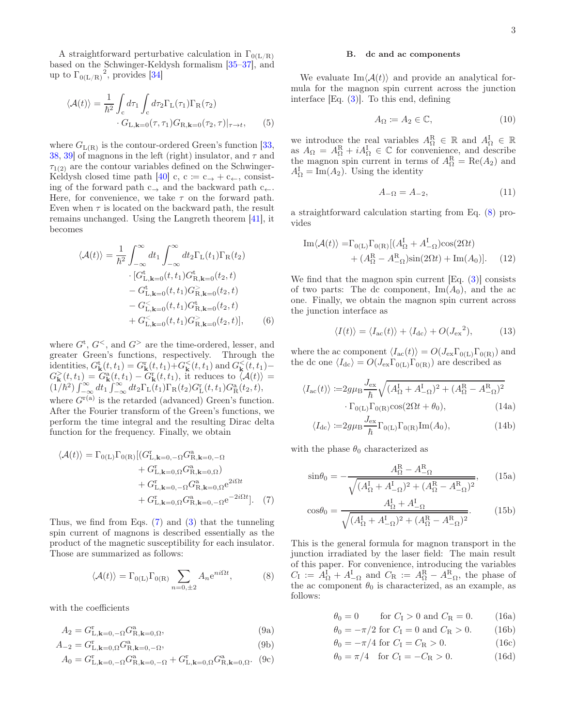A straightforward perturbative calculation in  $\Gamma_{0(L/R)}$ based on the Schwinger-Keldysh formalism [35–37], and up to  $\Gamma_{0(L/R)}^2$ , provides [34]

$$
\langle \mathcal{A}(t) \rangle = \frac{1}{\hbar^2} \int_{\rm c} d\tau_1 \int_{\rm c} d\tau_2 \Gamma_{\rm L}(\tau_1) \Gamma_{\rm R}(\tau_2) \cdot G_{\rm L, \mathbf{k}=0}(\tau, \tau_1) G_{\rm R, \mathbf{k}=0}(\tau_2, \tau) \vert_{\tau \to t}, \qquad (5)
$$

where  $G_{L(R)}$  is the contour-ordered Green's function [33, 38, 39] of magnons in the left (right) insulator, and  $\tau$  and  $\tau_{1(2)}$  are the contour variables defined on the Schwinger-Keldysh closed time path [40] c, c  $:= c \rightarrow + c \leftarrow$ , consisting of the forward path  $c_{\rightarrow}$  and the backward path  $c_{\leftarrow}$ . Here, for convenience, we take  $\tau$  on the forward path. Even when  $\tau$  is located on the backward path, the result remains unchanged. Using the Langreth theorem [41], it becomes

$$
\langle \mathcal{A}(t) \rangle = \frac{1}{\hbar^2} \int_{-\infty}^{\infty} dt_1 \int_{-\infty}^{\infty} dt_2 \Gamma_{\rm L}(t_1) \Gamma_{\rm R}(t_2)
$$
  
. 
$$
\left[ G_{\rm L,k=0}^{\rm t}(t,t_1) G_{\rm R,k=0}^{\rm t}(t_2,t) - G_{\rm L,k=0}^{\rm t}(t,t_1) G_{\rm R,k=0}^{\rm s}(t_2,t) - G_{\rm L,k=0}^{\rm c}(t,t_1) G_{\rm R,k=0}^{\rm t}(t_2,t) + G_{\rm L,k=0}^{\rm c}(t,t_1) G_{\rm R,k=0}^{\rm s}(t_2,t) \right], \tag{6}
$$

where  $G^{\rm t}$ ,  $G^{\rm l}$ , and  $G^{\rm l}$  are the time-ordered, lesser, and greater Green's functions, respectively. Through the identities,  $G^{\text{t}}_{\mathbf{k}}(t,t_1) = G^{\text{r}}_{\mathbf{k}}(t,t_1) + G^{\text{t}}_{\mathbf{k}}(t,t_1)$  and  $G^{\text{t}}_{\mathbf{k}}(t,t_1)$ - $G_{\mathbf{k}}^>(t,t_1) = \overline{G_{\mathbf{k}}^{\mathbf{a}}(t,t_1)} - \overline{G_{\mathbf{k}}^{\mathbf{r}}(t,t_1)}$ , it reduces to  $\langle \mathcal{A}(t) \rangle =$  $(1/\hbar^2)\int_{-\infty}^{\infty} dt_1 \int_{-\infty}^{\infty} dt_2 \Gamma_{\rm L}(t_1) \Gamma_{\rm R}(t_2) G_{\rm L}^{\rm r}(t,t_1) G_{\rm R}^{\rm a}(t_2,t),$ where  $G^{r(a)}$  is the retarded (advanced) Green's function. After the Fourier transform of the Green's functions, we perform the time integral and the resulting Dirac delta function for the frequency. Finally, we obtain

$$
\langle \mathcal{A}(t) \rangle = \Gamma_{0(L)} \Gamma_{0(R)} \left[ (G_{L,\mathbf{k}=0,-\Omega}^{c} G_{R,\mathbf{k}=0,-\Omega}^{a} + G_{L,\mathbf{k}=0,\Omega}^{c} G_{R,\mathbf{k}=0,\Omega}^{a} \right] + G_{L,\mathbf{k}=0,-\Omega}^{c} G_{R,\mathbf{k}=0,\Omega}^{a} e^{2i\Omega t} + G_{L,\mathbf{k}=0,\Omega}^{c} G_{R,\mathbf{k}=0,-\Omega}^{a} e^{-2i\Omega t} \right].
$$
 (7)

Thus, we find from Eqs. (7) and (3) that the tunneling spin current of magnons is described essentially as the product of the magnetic susceptibility for each insulator. Those are summarized as follows:

$$
\langle \mathcal{A}(t) \rangle = \Gamma_{0(L)} \Gamma_{0(R)} \sum_{n=0,\pm 2} A_n e^{ni\Omega t},\tag{8}
$$

with the coefficients

$$
A_2 = G_{L,\mathbf{k}=0,-\Omega}^{\mathrm{T}} G_{\mathrm{R},\mathbf{k}=0,\Omega}^{\mathrm{a}},\tag{9a}
$$

$$
A_{-2} = G_{\mathcal{L},\mathbf{k}=0,\Omega}^{\mathrm{r}} G_{\mathcal{R},\mathbf{k}=0,-\Omega}^{\mathrm{a}},\tag{9b}
$$

$$
A_0 = G_{L,\mathbf{k}=0,-\Omega}^{\mathrm{T}} G_{R,\mathbf{k}=0,-\Omega}^{\mathrm{a}} + G_{L,\mathbf{k}=0,\Omega}^{\mathrm{T}} G_{R,\mathbf{k}=0,\Omega}^{\mathrm{a}}.
$$
 (9c)

#### B. dc and ac components

We evaluate  $\text{Im}\langle \mathcal{A}(t) \rangle$  and provide an analytical formula for the magnon spin current across the junction interface [Eq. (3)]. To this end, defining

$$
A_{\Omega} \coloneqq A_2 \in \mathbb{C},\tag{10}
$$

we introduce the real variables  $A_{\Omega}^{\mathbb{R}} \in \mathbb{R}$  and  $A_{\Omega}^{\mathbb{I}} \in \mathbb{R}$ as  $A_{\Omega} = A_{\Omega}^{\text{R}} + iA_{\Omega}^{\text{I}} \in \mathbb{C}$  for convenience, and describe the magnon spin current in terms of  $A_{\Omega}^{\text{R}} = \text{Re}(A_2)$  and  $A_{\Omega}^{\mathcal{I}} = \text{Im}(A_2)$ . Using the identity

$$
A_{-\Omega} = A_{-2},\tag{11}
$$

a straightforward calculation starting from Eq. (8) provides

$$
\mathrm{Im}\langle\mathcal{A}(t)\rangle = \Gamma_{0\text{(L)}}\Gamma_{0\text{(R)}}[(A_{\Omega}^{\text{I}} + A_{-\Omega}^{\text{I}})\cos(2\Omega t) + (A_{\Omega}^{\text{R}} - A_{-\Omega}^{\text{R}})\sin(2\Omega t) + \mathrm{Im}(A_{0})].
$$
 (12)

We find that the magnon spin current  $[Eq. (3)]$  consists of two parts: The dc component,  $\text{Im}(A_0)$ , and the ac one. Finally, we obtain the magnon spin current across the junction interface as

$$
\langle I(t) \rangle = \langle I_{\rm ac}(t) \rangle + \langle I_{\rm dc} \rangle + O(J_{\rm ex}^2), \tag{13}
$$

where the ac component  $\langle I_{\rm ac}(t)\rangle = O(J_{\rm ex}\Gamma_{0(L)}\Gamma_{0(R)})$  and the dc one  $\langle I_{\text{dc}} \rangle = O(J_{\text{ex}}\Gamma_{0(L)}\Gamma_{0(R)})$  are described as

$$
\langle I_{\rm ac}(t) \rangle := 2g\mu_{\rm B} \frac{J_{\rm ex}}{\hbar} \sqrt{(A_{\Omega}^{\rm I} + A_{-\Omega}^{\rm I})^2 + (A_{\Omega}^{\rm R} - A_{-\Omega}^{\rm R})^2} \cdot \Gamma_{0(\rm L)} \Gamma_{0(\rm R)} \cos(2\Omega t + \theta_0), \tag{14a}
$$

$$
\langle I_{\rm dc} \rangle := 2g\mu_{\rm B} \frac{J_{\rm ex}}{\hbar} \Gamma_{0\rm(L)} \Gamma_{0\rm(R)} \text{Im}(A_0), \tag{14b}
$$

with the phase  $\theta_0$  characterized as

$$
\sin \theta_0 = -\frac{A_{\Omega}^{\rm R} - A_{-\Omega}^{\rm R}}{\sqrt{(A_{\Omega}^{\rm I} + A_{-\Omega}^{\rm I})^2 + (A_{\Omega}^{\rm R} - A_{-\Omega}^{\rm R})^2}},\qquad(15a)
$$

$$
\cos\theta_0 = \frac{A_{\Omega}^{\text{I}} + A_{-\Omega}^{\text{I}}}{\sqrt{(A_{\Omega}^{\text{I}} + A_{-\Omega}^{\text{I}})^2 + (A_{\Omega}^{\text{R}} - A_{-\Omega}^{\text{R}})^2}}.
$$
(15b)

This is the general formula for magnon transport in the junction irradiated by the laser field: The main result of this paper. For convenience, introducing the variables  $C_{\rm I} := A_{\Omega}^{\rm I} + A_{-\Omega}^{\rm I}$  and  $C_{\rm R} := A_{\Omega}^{\rm R} - A_{-\Omega}^{\rm R}$ , the phase of the ac component  $\theta_0$  is characterized, as an example, as follows:

$$
\theta_0 = 0 \qquad \text{for } C_{\text{I}} > 0 \text{ and } C_{\text{R}} = 0. \tag{16a}
$$

$$
\theta_0 = -\pi/2
$$
 for  $C_I = 0$  and  $C_R > 0$ . (16b)

$$
\theta_0 = -\pi/4 \text{ for } C_{\text{I}} = C_{\text{R}} > 0. \tag{16c}
$$

$$
\theta_0 = \pi/4
$$
 for  $C_I = -C_R > 0$ . (16d)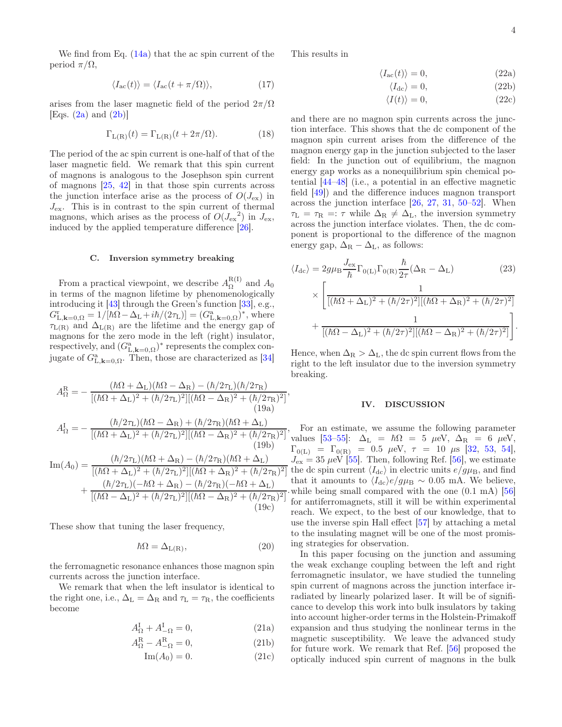We find from Eq.  $(14a)$  that the ac spin current of the period  $\pi/\Omega$ ,

$$
\langle I_{\rm ac}(t) \rangle = \langle I_{\rm ac}(t + \pi/\Omega) \rangle, \tag{17}
$$

arises from the laser magnetic field of the period  $2\pi/\Omega$ [Eqs.  $(2a)$  and  $(2b)$ ]

$$
\Gamma_{\mathcal{L}(\mathcal{R})}(t) = \Gamma_{\mathcal{L}(\mathcal{R})}(t + 2\pi/\Omega). \tag{18}
$$

The period of the ac spin current is one-half of that of the laser magnetic field. We remark that this spin current of magnons is analogous to the Josephson spin current of magnons [25, 42] in that those spin currents across the junction interface arise as the process of  $O(J_{\rm ex})$  in  $J_{\text{ex}}$ . This is in contrast to the spin current of thermal magnons, which arises as the process of  $O(J_{\rm ex}^2)$  in  $J_{\rm ex}$ , induced by the applied temperature difference [26].

#### C. Inversion symmetry breaking

From a practical viewpoint, we describe  $A_{\Omega}^{R(I)}$  $\frac{\Lambda(1)}{\Omega}$  and  $A_0$ in terms of the magnon lifetime by phenomenologically introducing it [43] through the Green's function [33], e.g.,  $G_{\text{L},\mathbf{k}=0,\Omega}^{\text{r}}=1/[\hbar\Omega-\Delta_{\text{L}}+i\hbar/(2\tau_{\text{L}})]=(G_{\text{L},\mathbf{k}=0,\Omega}^{\text{a}})^{*}$ , where  $\tau_{L(R)}$  and  $\Delta_{L(R)}$  are the lifetime and the energy gap of magnons for the zero mode in the left (right) insulator, respectively, and  $(G_{\text{L},\mathbf{k}=0,\Omega}^{\text{a}})$ <sup>\*</sup> represents the complex conjugate of  $G_{\text{L},\mathbf{k}=0,\Omega}^{\text{a}}$ . Then, those are characterized as [34]

$$
A_{\Omega}^{\text{R}} = -\frac{(\hbar\Omega + \Delta_{\text{L}})(\hbar\Omega - \Delta_{\text{R}}) - (\hbar/2\tau_{\text{L}})(\hbar/2\tau_{\text{R}})}{[(\hbar\Omega + \Delta_{\text{L}})^{2} + (\hbar/2\tau_{\text{L}})^{2}][( \hbar\Omega - \Delta_{\text{R}})^{2} + (\hbar/2\tau_{\text{R}})^{2}]},
$$
\n(19a)  
\n
$$
A_{\Omega}^{\text{I}} = -\frac{(\hbar/2\tau_{\text{L}})(\hbar\Omega - \Delta_{\text{R}}) + (\hbar/2\tau_{\text{R}})(\hbar\Omega + \Delta_{\text{L}})}{[(\hbar\Omega + \Delta_{\text{L}})^{2} + (\hbar/2\tau_{\text{L}})^{2}][( \hbar\Omega - \Delta_{\text{R}})^{2} + (\hbar/2\tau_{\text{R}})^{2}]},
$$
\n(19b)  
\n
$$
\text{Im}(A_{0}) = \frac{(\hbar/2\tau_{\text{L}})(\hbar\Omega + \Delta_{\text{R}}) - (\hbar/2\tau_{\text{R}})(\hbar\Omega + \Delta_{\text{L}})}{[(\hbar\Omega + \Delta_{\text{L}})^{2} + (\hbar/2\tau_{\text{L}})^{2}][( \hbar\Omega + \Delta_{\text{R}})^{2} + (\hbar/2\tau_{\text{R}})^{2}]} + \frac{(\hbar/2\tau_{\text{L}})(-\hbar\Omega + \Delta_{\text{R}}) - (\hbar/2\tau_{\text{R}})(-\hbar\Omega + \Delta_{\text{L}})}{[(\hbar\Omega - \Delta_{\text{L}})^{2} + (\hbar/2\tau_{\text{L}})^{2}][( \hbar\Omega - \Delta_{\text{R}})^{2} + (\hbar/2\tau_{\text{R}})^{2}]}.
$$
\n(19c)

These show that tuning the laser frequency,

$$
\hbar\Omega = \Delta_{L(R)},\tag{20}
$$

the ferromagnetic resonance enhances those magnon spin currents across the junction interface.

We remark that when the left insulator is identical to the right one, i.e.,  $\Delta_{\rm L} = \Delta_{\rm R}$  and  $\tau_{\rm L} = \tau_{\rm R}$ , the coefficients become

$$
A_{\Omega}^{\mathcal{I}} + A_{-\Omega}^{\mathcal{I}} = 0,\tag{21a}
$$

$$
A_{\Omega}^{\rm R} - A_{-\Omega}^{\rm R} = 0, \qquad (21b)
$$

$$
\operatorname{Im}(A_0) = 0. \tag{21c}
$$

This results in

$$
\langle I_{\rm ac}(t) \rangle = 0,\tag{22a}
$$

$$
\langle I_{\rm dc} \rangle = 0,\tag{22b}
$$

$$
\langle I(t) \rangle = 0,\tag{22c}
$$

and there are no magnon spin currents across the junction interface. This shows that the dc component of the magnon spin current arises from the difference of the magnon energy gap in the junction subjected to the laser field: In the junction out of equilibrium, the magnon energy gap works as a nonequilibrium spin chemical potential [44–48] (i.e., a potential in an effective magnetic field [49]) and the difference induces magnon transport across the junction interface [26, 27, 31, 50–52]. When  $\tau_L = \tau_R =: \tau$  while  $\Delta_R \neq \Delta_L$ , the inversion symmetry across the junction interface violates. Then, the dc component is proportional to the difference of the magnon energy gap,  $\Delta_R - \Delta_L$ , as follows:

$$
\langle I_{\text{dc}} \rangle = 2g\mu_{\text{B}} \frac{J_{\text{ex}}}{\hbar} \Gamma_{0\text{(L)}} \Gamma_{0\text{(R)}} \frac{\hbar}{2\tau} (\Delta_{\text{R}} - \Delta_{\text{L}}) \qquad (23)
$$

$$
\times \left[ \frac{1}{[(\hbar\Omega + \Delta_{\text{L}})^2 + (\hbar/2\tau)^2][(\hbar\Omega + \Delta_{\text{R}})^2 + (\hbar/2\tau)^2]} + \frac{1}{[(\hbar\Omega - \Delta_{\text{L}})^2 + (\hbar/2\tau)^2][(\hbar\Omega - \Delta_{\text{R}})^2 + (\hbar/2\tau)^2]} \right].
$$

Hence, when  $\Delta_R > \Delta_L$ , the dc spin current flows from the right to the left insulator due to the inversion symmetry breaking.

# IV. DISCUSSION

For an estimate, we assume the following parameter values [53–55]:  $\Delta_{\rm L} = \hbar \Omega = 5 \mu \text{eV}, \Delta_{\rm R} = 6 \mu \text{eV},$  $\Gamma_{0(L)} = \Gamma_{0(R)} = 0.5 \text{ } \mu\text{eV}, \tau = 10 \text{ } \mu\text{s} \text{ } [32, 53, 54],$  $J_{\text{ex}} = 35 \mu \text{eV}$  [55]. Then, following Ref. [56], we estimate the dc spin current  $\langle I_{\text{dc}} \rangle$  in electric units  $e/g\mu_{\text{B}}$ , and find that it amounts to  $\langle I_{\text{dc}}\rangle e/g\mu_{\text{B}} \sim 0.05 \text{ mA}$ . We believe, while being small compared with the one  $(0.1 \text{ mA})$  |56| for antiferromagnets, still it will be within experimental reach. We expect, to the best of our knowledge, that to use the inverse spin Hall effect [57] by attaching a metal to the insulating magnet will be one of the most promising strategies for observation.

In this paper focusing on the junction and assuming the weak exchange coupling between the left and right ferromagnetic insulator, we have studied the tunneling spin current of magnons across the junction interface irradiated by linearly polarized laser. It will be of significance to develop this work into bulk insulators by taking into account higher-order terms in the Holstein-Primakoff expansion and thus studying the nonlinear terms in the magnetic susceptibility. We leave the advanced study for future work. We remark that Ref. [56] proposed the optically induced spin current of magnons in the bulk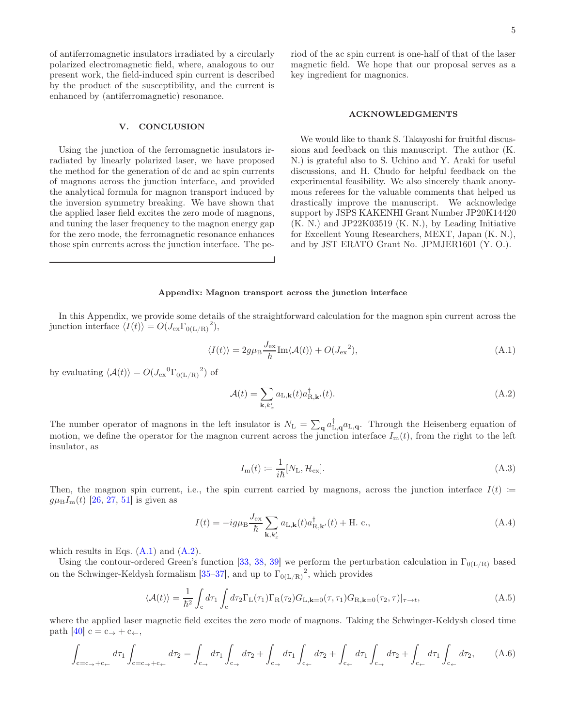of antiferromagnetic insulators irradiated by a circularly polarized electromagnetic field, where, analogous to our present work, the field-induced spin current is described by the product of the susceptibility, and the current is enhanced by (antiferromagnetic) resonance.

# V. CONCLUSION

Using the junction of the ferromagnetic insulators irradiated by linearly polarized laser, we have proposed the method for the generation of dc and ac spin currents of magnons across the junction interface, and provided the analytical formula for magnon transport induced by the inversion symmetry breaking. We have shown that the applied laser field excites the zero mode of magnons, and tuning the laser frequency to the magnon energy gap for the zero mode, the ferromagnetic resonance enhances those spin currents across the junction interface. The period of the ac spin current is one-half of that of the laser magnetic field. We hope that our proposal serves as a key ingredient for magnonics.

## ACKNOWLEDGMENTS

We would like to thank S. Takayoshi for fruitful discussions and feedback on this manuscript. The author (K. N.) is grateful also to S. Uchino and Y. Araki for useful discussions, and H. Chudo for helpful feedback on the experimental feasibility. We also sincerely thank anonymous referees for the valuable comments that helped us drastically improve the manuscript. We acknowledge support by JSPS KAKENHI Grant Number JP20K14420 (K. N.) and JP22K03519 (K. N.), by Leading Initiative for Excellent Young Researchers, MEXT, Japan (K. N.), and by JST ERATO Grant No. JPMJER1601 (Y. O.).

## Appendix: Magnon transport across the junction interface

In this Appendix, we provide some details of the straightforward calculation for the magnon spin current across the junction interface  $\langle I(t) \rangle = O(J_{\text{ex}} \Gamma_{0(L/R)}^2)$ ,

$$
\langle I(t) \rangle = 2g\mu_{\rm B} \frac{J_{\rm ex}}{\hbar} \text{Im}\langle A(t) \rangle + O(J_{\rm ex}^2), \tag{A.1}
$$

by evaluating  $\langle \mathcal{A}(t) \rangle = O(J_{\text{ex}}{}^{0} \Gamma_{0(L/R)}{}^{2})$  of

$$
\mathcal{A}(t) = \sum_{\mathbf{k}, k_x'} a_{\mathbf{L}, \mathbf{k}}(t) a_{\mathbf{R}, \mathbf{k}'}^\dagger(t). \tag{A.2}
$$

The number operator of magnons in the left insulator is  $N_L = \sum_{\mathbf{q}} a_{\mathbf{L},\mathbf{q}}^{\dagger} a_{\mathbf{L},\mathbf{q}}$ . Through the Heisenberg equation of motion, we define the operator for the magnon current across the junction interface  $I_{m}(t)$ , from the right to the left insulator, as

$$
I_{\rm m}(t) \coloneqq \frac{1}{i\hbar} [N_{\rm L}, \mathcal{H}_{\rm ex}]. \tag{A.3}
$$

Then, the magnon spin current, i.e., the spin current carried by magnons, across the junction interface  $I(t) :=$  $g\mu_{\rm B}I_{\rm m}(t)$  [26, 27, 51] is given as

$$
I(t) = -ig\mu_{\rm B} \frac{J_{\rm ex}}{\hbar} \sum_{\mathbf{k},k'_x} a_{\mathbf{L},\mathbf{k}}(t) a_{\rm R,\mathbf{k'}}^{\dagger}(t) + \text{H. c.},\tag{A.4}
$$

which results in Eqs.  $(A.1)$  and  $(A.2)$ .

Using the contour-ordered Green's function [33, 38, 39] we perform the perturbation calculation in  $\Gamma_{0(L/R)}$  based on the Schwinger-Keldysh formalism [35–37], and up to  $\Gamma_{0(L/R)}^2$ , which provides

$$
\langle \mathcal{A}(t) \rangle = \frac{1}{\hbar^2} \int_c d\tau_1 \int_c d\tau_2 \Gamma_L(\tau_1) \Gamma_R(\tau_2) G_{L,\mathbf{k}=0}(\tau, \tau_1) G_{R,\mathbf{k}=0}(\tau_2, \tau) |_{\tau \to t},
$$
\n(A.5)

where the applied laser magnetic field excites the zero mode of magnons. Taking the Schwinger-Keldysh closed time path [40]  $c = c \rightarrow + c \leftarrow$ ,

$$
\int_{c=c_{\rightarrow}+c_{\leftarrow}} d\tau_1 \int_{c=c_{\rightarrow}+c_{\leftarrow}} d\tau_2 = \int_{c_{\rightarrow}} d\tau_1 \int_{c_{\rightarrow}} d\tau_2 + \int_{c_{\rightarrow}} d\tau_1 \int_{c_{\leftarrow}} d\tau_2 + \int_{c_{\leftarrow}} d\tau_1 \int_{c_{\rightarrow}} d\tau_2 + \int_{c_{\leftarrow}} d\tau_1 \int_{c_{\leftarrow}} d\tau_2, \tag{A.6}
$$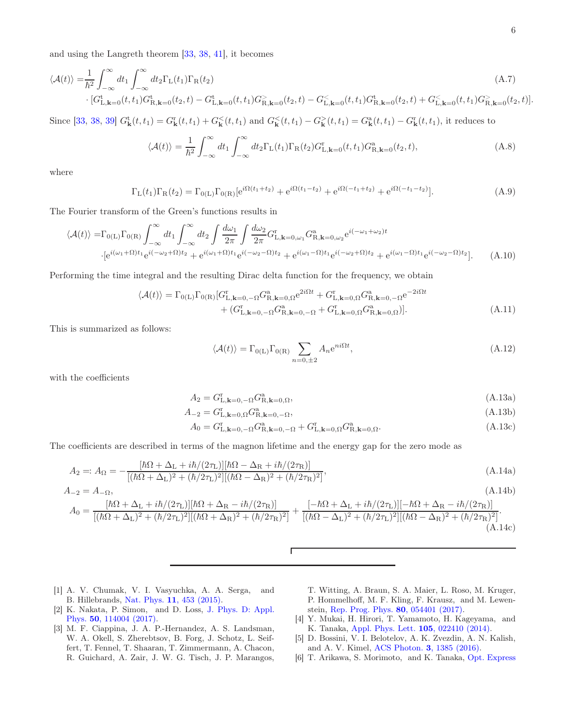and using the Langreth theorem [33, 38, 41], it becomes

$$
\langle \mathcal{A}(t) \rangle = \frac{1}{\hbar^2} \int_{-\infty}^{\infty} dt_1 \int_{-\infty}^{\infty} dt_2 \Gamma_{\mathcal{L}}(t_1) \Gamma_{\mathcal{R}}(t_2)
$$
\n
$$
\cdot \left[ G_{\mathcal{L},\mathbf{k}=0}^{\mathbf{t}}(t,t_1) G_{\mathcal{R},\mathbf{k}=0}^{\mathbf{t}}(t_2,t) - G_{\mathcal{L},\mathbf{k}=0}^{\mathbf{t}}(t,t_1) G_{\mathcal{R},\mathbf{k}=0}^{\mathbf{t}}(t_2,t) - G_{\mathcal{L},\mathbf{k}=0}^{\mathbf{t}}(t,t_1) G_{\mathcal{R},\mathbf{k}=0}^{\mathbf{t}}(t_2,t) + G_{\mathcal{L},\mathbf{k}=0}^{\mathbf{t}}(t,t_1) G_{\mathcal{R},\mathbf{k}=0}^{\mathbf{t}}(t_2,t) \right].
$$
\n(A.7)

Since [33, 38, 39]  $G_{\bf k}^{\rm t}(t,t_1) = G_{\bf k}^{\rm r}(t,t_1) + G_{\bf k}^{\rm r}(t,t_1)$  and  $G_{\bf k}^{\rm r}(t,t_1) - G_{\bf k}^{\rm r}(t,t_1) = G_{\bf k}^{\rm a}(t,t_1) - G_{\bf k}^{\rm r}(t,t_1)$ , it reduces to

$$
\langle \mathcal{A}(t) \rangle = \frac{1}{\hbar^2} \int_{-\infty}^{\infty} dt_1 \int_{-\infty}^{\infty} dt_2 \Gamma_{\mathcal{L}}(t_1) \Gamma_{\mathcal{R}}(t_2) G_{\mathcal{L}, \mathbf{k}=0}^{\mathbf{r}}(t, t_1) G_{\mathcal{R}, \mathbf{k}=0}^{\mathbf{a}}(t_2, t), \tag{A.8}
$$

where

$$
\Gamma_{\mathcal{L}}(t_1)\Gamma_{\mathcal{R}}(t_2) = \Gamma_{0(\mathcal{L})}\Gamma_{0(\mathcal{R})}[e^{i\Omega(t_1+t_2)} + e^{i\Omega(t_1-t_2)} + e^{i\Omega(-t_1+t_2)} + e^{i\Omega(-t_1-t_2)}].
$$
\n(A.9)

The Fourier transform of the Green's functions results in

$$
\langle \mathcal{A}(t) \rangle = \Gamma_{0(L)} \Gamma_{0(R)} \int_{-\infty}^{\infty} dt_1 \int_{-\infty}^{\infty} dt_2 \int \frac{d\omega_1}{2\pi} \int \frac{d\omega_2}{2\pi} G_{L,\mathbf{k}=0,\omega_1}^{\mathbf{r}} G_{R,\mathbf{k}=0,\omega_2}^{\mathbf{a}} e^{i(-\omega_1+\omega_2)t}
$$

$$
\cdot [e^{i(\omega_1+\Omega)t_1} e^{i(-\omega_2+\Omega)t_2} + e^{i(\omega_1+\Omega)t_1} e^{i(-\omega_2-\Omega)t_2} + e^{i(\omega_1-\Omega)t_1} e^{i(-\omega_2+\Omega)t_2} + e^{i(\omega_1-\Omega)t_1} e^{i(-\omega_2-\Omega)t_2}]. \tag{A.10}
$$

Performing the time integral and the resulting Dirac delta function for the frequency, we obtain

$$
\langle \mathcal{A}(t) \rangle = \Gamma_{0(L)} \Gamma_{0(R)} [G_{L,\mathbf{k}=0,-\Omega}^{\text{R}} G_{R,\mathbf{k}=0,\Omega}^{\text{a}} e^{2i\Omega t} + G_{L,\mathbf{k}=0,\Omega}^{\text{r}} G_{R,\mathbf{k}=0,-\Omega}^{\text{a}} e^{-2i\Omega t} + (G_{L,\mathbf{k}=0,-\Omega}^{\text{r}} G_{R,\mathbf{k}=0,-\Omega}^{\text{a}} + G_{L,\mathbf{k}=0,\Omega}^{\text{r}} G_{R,\mathbf{k}=0,\Omega}^{\text{a}})].
$$
\n(A.11)

This is summarized as follows:

$$
\langle \mathcal{A}(t) \rangle = \Gamma_{0(L)} \Gamma_{0(R)} \sum_{n=0,\pm 2} A_n e^{ni\Omega t},\tag{A.12}
$$

with the coefficients

$$
A_2 = G_{L,\mathbf{k}=0,-\Omega}^{\mathrm{r}} G_{R,\mathbf{k}=0,\Omega}^{\mathrm{a}},\tag{A.13a}
$$

$$
A_{-2} = G_{L,\mathbf{k}=0,\Omega}^{\mathrm{r}} G_{R,\mathbf{k}=0,-\Omega}^{\mathrm{a}},\tag{A.13b}
$$

$$
A_0 = G_{L,\mathbf{k}=0,-\Omega}^{\mathrm{r}} G_{R,\mathbf{k}=0,-\Omega}^{\mathrm{a}} + G_{L,\mathbf{k}=0,\Omega}^{\mathrm{r}} G_{R,\mathbf{k}=0,\Omega}^{\mathrm{a}}.
$$
\n(A.13c)

The coefficients are described in terms of the magnon lifetime and the energy gap for the zero mode as

$$
A_2 =: A_{\Omega} = -\frac{[\hbar\Omega + \Delta_{\rm L} + i\hbar/(2\tau_{\rm L})][\hbar\Omega - \Delta_{\rm R} + i\hbar/(2\tau_{\rm R})]}{[(\hbar\Omega + \Delta_{\rm L})^2 + (\hbar/2\tau_{\rm L})^2][(k\Omega - \Delta_{\rm R})^2 + (\hbar/2\tau_{\rm R})^2]},
$$
(A.14a)

$$
A_{-2} = A_{-\Omega}, \qquad (A.14b)
$$
\n
$$
A_0 = \frac{[\hbar\Omega + \Delta_L + i\hbar/(2\tau_L)][\hbar\Omega + \Delta_R - i\hbar/(2\tau_R)]}{[(\hbar\Omega + \Delta_L)^2 + (\hbar/2\tau_L)^2][( \hbar\Omega + \Delta_R)^2 + (\hbar/2\tau_R)^2]} + \frac{[-\hbar\Omega + \Delta_L + i\hbar/(2\tau_L)][-\hbar\Omega + \Delta_R - i\hbar/(2\tau_R)]}{[(\hbar\Omega - \Delta_L)^2 + (\hbar/2\tau_L)^2][( \hbar\Omega - \Delta_R)^2 + (\hbar/2\tau_R)^2]}.
$$
\n(A.14c)

Г

- [1] A. V. Chumak, V. I. Vasyuchka, A. A. Serga, and B. Hillebrands, Nat. Phys. 11, 453 (2015).
- [2] K. Nakata, P. Simon, and D. Loss, J. Phys. D: Appl. Phys. 50, 114004 (2017).
- [3] M. F. Ciappina, J. A. P.-Hernandez, A. S. Landsman, W. A. Okell, S. Zherebtsov, B. Forg, J. Schotz, L. Seiffert, T. Fennel, T. Shaaran, T. Zimmermann, A. Chacon, R. Guichard, A. Zair, J. W. G. Tisch, J. P. Marangos,
- T. Witting, A. Braun, S. A. Maier, L. Roso, M. Kruger, P. Hommelhoff, M. F. Kling, F. Krausz, and M. Lewenstein, Rep. Prog. Phys. 80, 054401 (2017).
- [4] Y. Mukai, H. Hirori, T. Yamamoto, H. Kageyama, and K. Tanaka, Appl. Phys. Lett. 105, 022410 (2014).
- [5] D. Bossini, V. I. Belotelov, A. K. Zvezdin, A. N. Kalish, and A. V. Kimel, ACS Photon. 3, 1385 (2016).
- [6] T. Arikawa, S. Morimoto, and K. Tanaka, Opt. Express